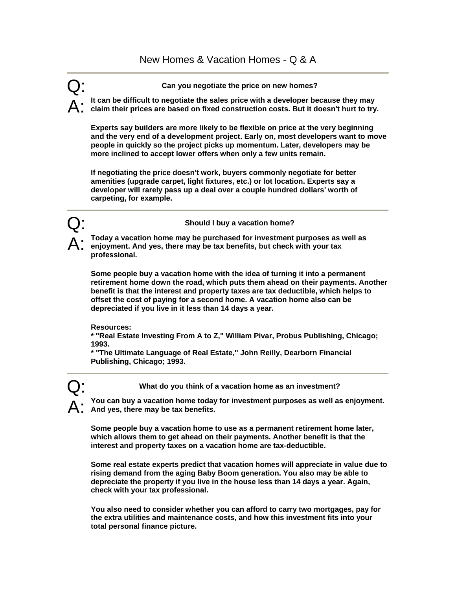Q: **Can you negotiate the price on new homes?** 

A: **It can be difficult to negotiate the sales price with a developer because they may claim their prices are based on fixed construction costs. But it doesn't hurt to try.** 

**Experts say builders are more likely to be flexible on price at the very beginning and the very end of a development project. Early on, most developers want to move people in quickly so the project picks up momentum. Later, developers may be more inclined to accept lower offers when only a few units remain.** 

**If negotiating the price doesn't work, buyers commonly negotiate for better amenities (upgrade carpet, light fixtures, etc.) or lot location. Experts say a developer will rarely pass up a deal over a couple hundred dollars' worth of carpeting, for example.** 



Q: **Should I buy a vacation home?** 

A: **Today a vacation home may be purchased for investment purposes as well as enjoyment. And yes, there may be tax benefits, but check with your tax professional.** 

**Some people buy a vacation home with the idea of turning it into a permanent retirement home down the road, which puts them ahead on their payments. Another benefit is that the interest and property taxes are tax deductible, which helps to offset the cost of paying for a second home. A vacation home also can be depreciated if you live in it less than 14 days a year.** 

**Resources:** 

**\* "Real Estate Investing From A to Z," William Pivar, Probus Publishing, Chicago; 1993.** 

**\* "The Ultimate Language of Real Estate,'' John Reilly, Dearborn Financial Publishing, Chicago; 1993.** 



Q: **What do you think of a vacation home as an investment?** 

A: **You can buy a vacation home today for investment purposes as well as enjoyment. And yes, there may be tax benefits.** 

**Some people buy a vacation home to use as a permanent retirement home later, which allows them to get ahead on their payments. Another benefit is that the interest and property taxes on a vacation home are tax-deductible.** 

**Some real estate experts predict that vacation homes will appreciate in value due to rising demand from the aging Baby Boom generation. You also may be able to depreciate the property if you live in the house less than 14 days a year. Again, check with your tax professional.** 

**You also need to consider whether you can afford to carry two mortgages, pay for the extra utilities and maintenance costs, and how this investment fits into your total personal finance picture.**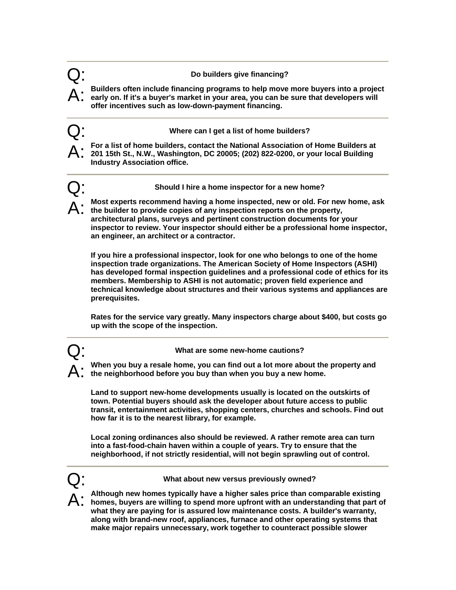## Q: **Do builders give financing?**

A: **Builders often include financing programs to help move more buyers into a project early on. If it's a buyer's market in your area, you can be sure that developers will offer incentives such as low-down-payment financing.** 

Q: **Where can I get a list of home builders?**

A: **For a list of home builders, contact the National Association of Home Builders at 201 15th St., N.W., Washington, DC 20005; (202) 822-0200, or your local Building Industry Association office.**

Q: **Should I hire a home inspector for a new home?** 

Most experts recommend having a home inspected, new or old. For new home, ask **the builder to provide copies of any inspection reports on the property, architectural plans, surveys and pertinent construction documents for your inspector to review. Your inspector should either be a professional home inspector, an engineer, an architect or a contractor.** 

**If you hire a professional inspector, look for one who belongs to one of the home inspection trade organizations. The American Society of Home Inspectors (ASHI) has developed formal inspection guidelines and a professional code of ethics for its members. Membership to ASHI is not automatic; proven field experience and technical knowledge about structures and their various systems and appliances are prerequisites.** 

**Rates for the service vary greatly. Many inspectors charge about \$400, but costs go up with the scope of the inspection.** 

Q: **What are some new-home cautions?** 

A: **When you buy a resale home, you can find out a lot more about the property and the neighborhood before you buy than when you buy a new home.** 

**Land to support new-home developments usually is located on the outskirts of town. Potential buyers should ask the developer about future access to public transit, entertainment activities, shopping centers, churches and schools. Find out how far it is to the nearest library, for example.** 

**Local zoning ordinances also should be reviewed. A rather remote area can turn into a fast-food-chain haven within a couple of years. Try to ensure that the neighborhood, if not strictly residential, will not begin sprawling out of control.** 

Q: **What about new versus previously owned?** 

A: **Although new homes typically have a higher sales price than comparable existing homes, buyers are willing to spend more upfront with an understanding that part of what they are paying for is assured low maintenance costs. A builder's warranty, along with brand-new roof, appliances, furnace and other operating systems that make major repairs unnecessary, work together to counteract possible slower**